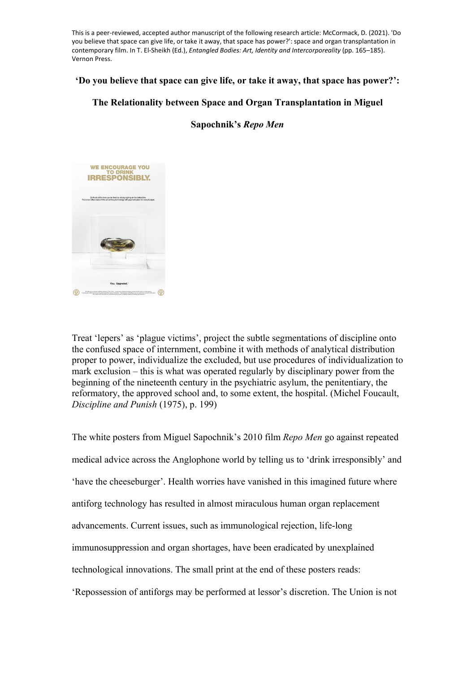This is a peer-reviewed, accepted author manuscript of the following research article: McCormack, D. (2021). 'Do you believe that space can give life, or take it away, that space has power?': space and organ transplantation in contemporary film. In T. El-Sheikh (Ed.), *Entangled Bodies: Art, Identity and Intercorporeality* (pp. 165–185). Vernon Press.

## **'Do you believe that space can give life, or take it away, that space has power?':**

# **The Relationality between Space and Organ Transplantation in Miguel**

**Sapochnik's** *Repo Men*



Treat 'lepers' as 'plague victims', project the subtle segmentations of discipline onto the confused space of internment, combine it with methods of analytical distribution proper to power, individualize the excluded, but use procedures of individualization to mark exclusion – this is what was operated regularly by disciplinary power from the beginning of the nineteenth century in the psychiatric asylum, the penitentiary, the reformatory, the approved school and, to some extent, the hospital. (Michel Foucault, *Discipline and Punish* (1975), p. 199)

The white posters from Miguel Sapochnik's 2010 film *Repo Men* go against repeated medical advice across the Anglophone world by telling us to 'drink irresponsibly' and 'have the cheeseburger'. Health worries have vanished in this imagined future where antiforg technology has resulted in almost miraculous human organ replacement advancements. Current issues, such as immunological rejection, life-long immunosuppression and organ shortages, have been eradicated by unexplained technological innovations. The small print at the end of these posters reads: 'Repossession of antiforgs may be performed at lessor's discretion. The Union is not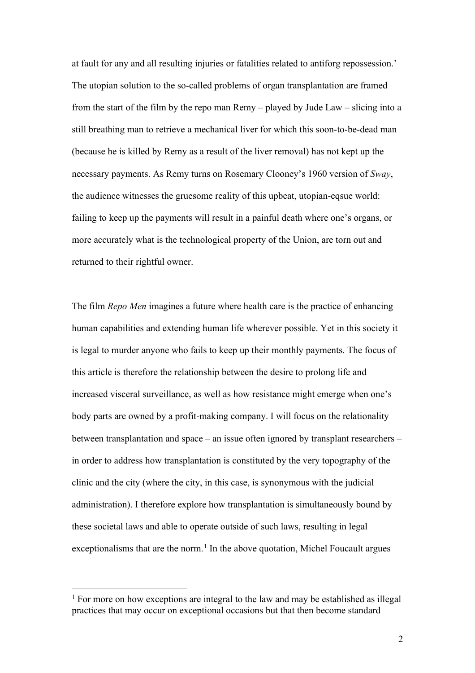at fault for any and all resulting injuries or fatalities related to antiforg repossession.' The utopian solution to the so-called problems of organ transplantation are framed from the start of the film by the repo man Remy – played by Jude Law – slicing into a still breathing man to retrieve a mechanical liver for which this soon-to-be-dead man (because he is killed by Remy as a result of the liver removal) has not kept up the necessary payments. As Remy turns on Rosemary Clooney's 1960 version of *Sway*, the audience witnesses the gruesome reality of this upbeat, utopian-eqsue world: failing to keep up the payments will result in a painful death where one's organs, or more accurately what is the technological property of the Union, are torn out and returned to their rightful owner.

The film *Repo Men* imagines a future where health care is the practice of enhancing human capabilities and extending human life wherever possible. Yet in this society it is legal to murder anyone who fails to keep up their monthly payments. The focus of this article is therefore the relationship between the desire to prolong life and increased visceral surveillance, as well as how resistance might emerge when one's body parts are owned by a profit-making company. I will focus on the relationality between transplantation and space – an issue often ignored by transplant researchers – in order to address how transplantation is constituted by the very topography of the clinic and the city (where the city, in this case, is synonymous with the judicial administration). I therefore explore how transplantation is simultaneously bound by these societal laws and able to operate outside of such laws, resulting in legal exceptionalisms that are the norm.<sup>[1](#page-1-0)</sup> In the above quotation, Michel Foucault argues

<span id="page-1-0"></span> $<sup>1</sup>$  For more on how exceptions are integral to the law and may be established as illegal</sup> practices that may occur on exceptional occasions but that then become standard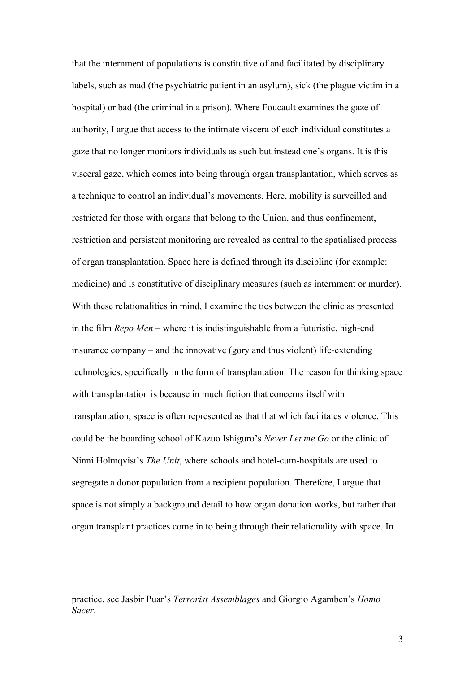that the internment of populations is constitutive of and facilitated by disciplinary labels, such as mad (the psychiatric patient in an asylum), sick (the plague victim in a hospital) or bad (the criminal in a prison). Where Foucault examines the gaze of authority, I argue that access to the intimate viscera of each individual constitutes a gaze that no longer monitors individuals as such but instead one's organs. It is this visceral gaze, which comes into being through organ transplantation, which serves as a technique to control an individual's movements. Here, mobility is surveilled and restricted for those with organs that belong to the Union, and thus confinement, restriction and persistent monitoring are revealed as central to the spatialised process of organ transplantation. Space here is defined through its discipline (for example: medicine) and is constitutive of disciplinary measures (such as internment or murder). With these relationalities in mind, I examine the ties between the clinic as presented in the film *Repo Men* – where it is indistinguishable from a futuristic, high-end insurance company – and the innovative (gory and thus violent) life-extending technologies, specifically in the form of transplantation. The reason for thinking space with transplantation is because in much fiction that concerns itself with transplantation, space is often represented as that that which facilitates violence. This could be the boarding school of Kazuo Ishiguro's *Never Let me Go* or the clinic of Ninni Holmqvist's *The Unit*, where schools and hotel-cum-hospitals are used to segregate a donor population from a recipient population. Therefore, I argue that space is not simply a background detail to how organ donation works, but rather that organ transplant practices come in to being through their relationality with space. In

practice, see Jasbir Puar's *Terrorist Assemblages* and Giorgio Agamben's *Homo Sacer*.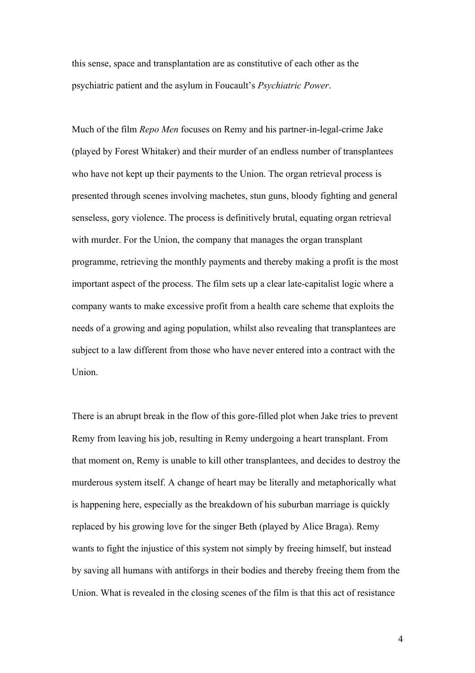this sense, space and transplantation are as constitutive of each other as the psychiatric patient and the asylum in Foucault's *Psychiatric Power*.

Much of the film *Repo Men* focuses on Remy and his partner-in-legal-crime Jake (played by Forest Whitaker) and their murder of an endless number of transplantees who have not kept up their payments to the Union. The organ retrieval process is presented through scenes involving machetes, stun guns, bloody fighting and general senseless, gory violence. The process is definitively brutal, equating organ retrieval with murder. For the Union, the company that manages the organ transplant programme, retrieving the monthly payments and thereby making a profit is the most important aspect of the process. The film sets up a clear late-capitalist logic where a company wants to make excessive profit from a health care scheme that exploits the needs of a growing and aging population, whilst also revealing that transplantees are subject to a law different from those who have never entered into a contract with the Union.

There is an abrupt break in the flow of this gore-filled plot when Jake tries to prevent Remy from leaving his job, resulting in Remy undergoing a heart transplant. From that moment on, Remy is unable to kill other transplantees, and decides to destroy the murderous system itself. A change of heart may be literally and metaphorically what is happening here, especially as the breakdown of his suburban marriage is quickly replaced by his growing love for the singer Beth (played by Alice Braga). Remy wants to fight the injustice of this system not simply by freeing himself, but instead by saving all humans with antiforgs in their bodies and thereby freeing them from the Union. What is revealed in the closing scenes of the film is that this act of resistance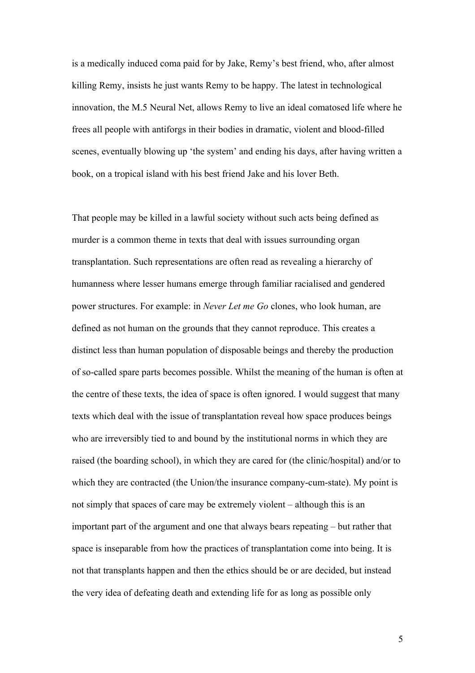is a medically induced coma paid for by Jake, Remy's best friend, who, after almost killing Remy, insists he just wants Remy to be happy. The latest in technological innovation, the M.5 Neural Net, allows Remy to live an ideal comatosed life where he frees all people with antiforgs in their bodies in dramatic, violent and blood-filled scenes, eventually blowing up 'the system' and ending his days, after having written a book, on a tropical island with his best friend Jake and his lover Beth.

That people may be killed in a lawful society without such acts being defined as murder is a common theme in texts that deal with issues surrounding organ transplantation. Such representations are often read as revealing a hierarchy of humanness where lesser humans emerge through familiar racialised and gendered power structures. For example: in *Never Let me Go* clones, who look human, are defined as not human on the grounds that they cannot reproduce. This creates a distinct less than human population of disposable beings and thereby the production of so-called spare parts becomes possible. Whilst the meaning of the human is often at the centre of these texts, the idea of space is often ignored. I would suggest that many texts which deal with the issue of transplantation reveal how space produces beings who are irreversibly tied to and bound by the institutional norms in which they are raised (the boarding school), in which they are cared for (the clinic/hospital) and/or to which they are contracted (the Union/the insurance company-cum-state). My point is not simply that spaces of care may be extremely violent – although this is an important part of the argument and one that always bears repeating – but rather that space is inseparable from how the practices of transplantation come into being. It is not that transplants happen and then the ethics should be or are decided, but instead the very idea of defeating death and extending life for as long as possible only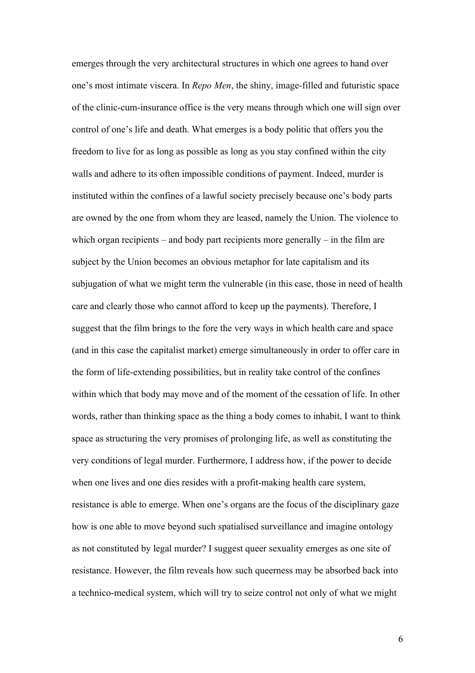emerges through the very architectural structures in which one agrees to hand over one's most intimate viscera. In *Repo Men*, the shiny, image-filled and futuristic space of the clinic-cum-insurance office is the very means through which one will sign over control of one's life and death. What emerges is a body politic that offers you the freedom to live for as long as possible as long as you stay confined within the city walls and adhere to its often impossible conditions of payment. Indeed, murder is instituted within the confines of a lawful society precisely because one's body parts are owned by the one from whom they are leased, namely the Union. The violence to which organ recipients – and body part recipients more generally – in the film are subject by the Union becomes an obvious metaphor for late capitalism and its subjugation of what we might term the vulnerable (in this case, those in need of health care and clearly those who cannot afford to keep up the payments). Therefore, I suggest that the film brings to the fore the very ways in which health care and space (and in this case the capitalist market) emerge simultaneously in order to offer care in the form of life-extending possibilities, but in reality take control of the confines within which that body may move and of the moment of the cessation of life. In other words, rather than thinking space as the thing a body comes to inhabit, I want to think space as structuring the very promises of prolonging life, as well as constituting the very conditions of legal murder. Furthermore, I address how, if the power to decide when one lives and one dies resides with a profit-making health care system, resistance is able to emerge. When one's organs are the focus of the disciplinary gaze how is one able to move beyond such spatialised surveillance and imagine ontology as not constituted by legal murder? I suggest queer sexuality emerges as one site of resistance. However, the film reveals how such queerness may be absorbed back into a technico-medical system, which will try to seize control not only of what we might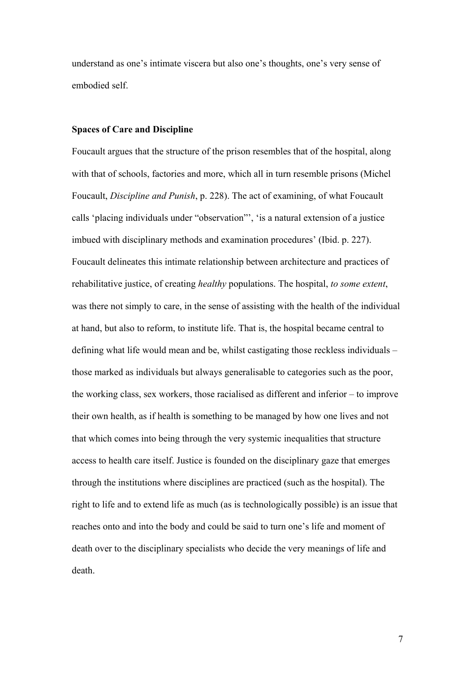understand as one's intimate viscera but also one's thoughts, one's very sense of embodied self.

### **Spaces of Care and Discipline**

Foucault argues that the structure of the prison resembles that of the hospital, along with that of schools, factories and more, which all in turn resemble prisons (Michel Foucault, *Discipline and Punish*, p. 228). The act of examining, of what Foucault calls 'placing individuals under "observation"', 'is a natural extension of a justice imbued with disciplinary methods and examination procedures' (Ibid. p. 227). Foucault delineates this intimate relationship between architecture and practices of rehabilitative justice, of creating *healthy* populations. The hospital, *to some extent*, was there not simply to care, in the sense of assisting with the health of the individual at hand, but also to reform, to institute life. That is, the hospital became central to defining what life would mean and be, whilst castigating those reckless individuals – those marked as individuals but always generalisable to categories such as the poor, the working class, sex workers, those racialised as different and inferior – to improve their own health, as if health is something to be managed by how one lives and not that which comes into being through the very systemic inequalities that structure access to health care itself. Justice is founded on the disciplinary gaze that emerges through the institutions where disciplines are practiced (such as the hospital). The right to life and to extend life as much (as is technologically possible) is an issue that reaches onto and into the body and could be said to turn one's life and moment of death over to the disciplinary specialists who decide the very meanings of life and death.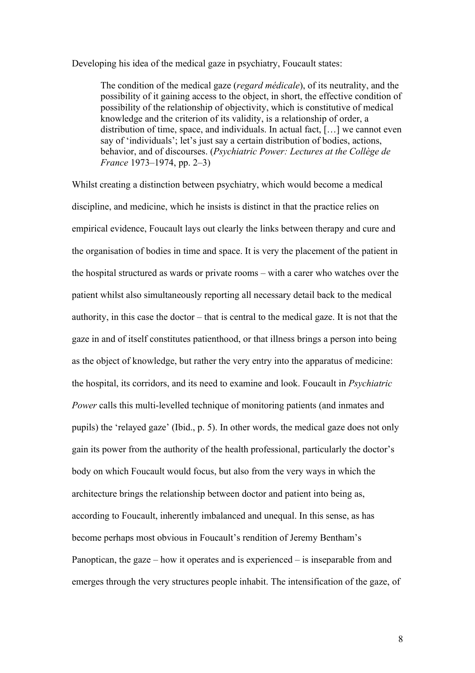Developing his idea of the medical gaze in psychiatry, Foucault states:

The condition of the medical gaze (*regard médicale*), of its neutrality, and the possibility of it gaining access to the object, in short, the effective condition of possibility of the relationship of objectivity, which is constitutive of medical knowledge and the criterion of its validity, is a relationship of order, a distribution of time, space, and individuals. In actual fact, […] we cannot even say of 'individuals'; let's just say a certain distribution of bodies, actions, behavior, and of discourses. (*Psychiatric Power: Lectures at the Collège de France* 1973–1974, pp. 2–3)

Whilst creating a distinction between psychiatry, which would become a medical discipline, and medicine, which he insists is distinct in that the practice relies on empirical evidence, Foucault lays out clearly the links between therapy and cure and the organisation of bodies in time and space. It is very the placement of the patient in the hospital structured as wards or private rooms – with a carer who watches over the patient whilst also simultaneously reporting all necessary detail back to the medical authority, in this case the doctor – that is central to the medical gaze. It is not that the gaze in and of itself constitutes patienthood, or that illness brings a person into being as the object of knowledge, but rather the very entry into the apparatus of medicine: the hospital, its corridors, and its need to examine and look. Foucault in *Psychiatric Power* calls this multi-levelled technique of monitoring patients (and inmates and pupils) the 'relayed gaze' (Ibid., p. 5). In other words, the medical gaze does not only gain its power from the authority of the health professional, particularly the doctor's body on which Foucault would focus, but also from the very ways in which the architecture brings the relationship between doctor and patient into being as, according to Foucault, inherently imbalanced and unequal. In this sense, as has become perhaps most obvious in Foucault's rendition of Jeremy Bentham's Panoptican, the gaze – how it operates and is experienced – is inseparable from and emerges through the very structures people inhabit. The intensification of the gaze, of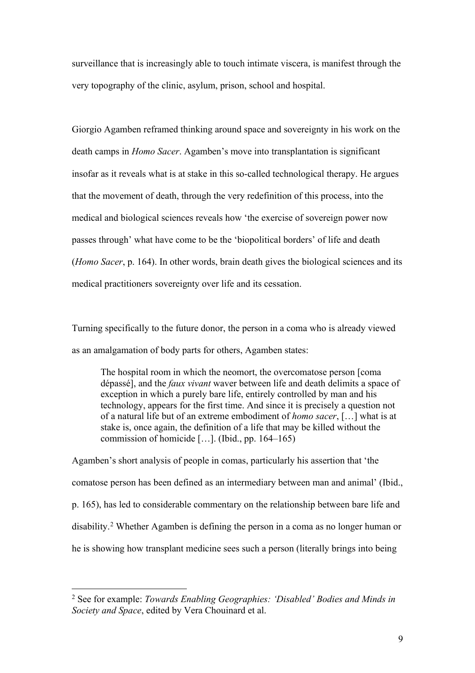surveillance that is increasingly able to touch intimate viscera, is manifest through the very topography of the clinic, asylum, prison, school and hospital.

Giorgio Agamben reframed thinking around space and sovereignty in his work on the death camps in *Homo Sacer*. Agamben's move into transplantation is significant insofar as it reveals what is at stake in this so-called technological therapy. He argues that the movement of death, through the very redefinition of this process, into the medical and biological sciences reveals how 'the exercise of sovereign power now passes through' what have come to be the 'biopolitical borders' of life and death (*Homo Sacer*, p. 164). In other words, brain death gives the biological sciences and its medical practitioners sovereignty over life and its cessation.

Turning specifically to the future donor, the person in a coma who is already viewed as an amalgamation of body parts for others, Agamben states:

The hospital room in which the neomort, the overcomatose person [coma dépassé], and the *faux vivant* waver between life and death delimits a space of exception in which a purely bare life, entirely controlled by man and his technology, appears for the first time. And since it is precisely a question not of a natural life but of an extreme embodiment of *homo sacer*, […] what is at stake is, once again, the definition of a life that may be killed without the commission of homicide […]. (Ibid., pp. 164–165)

Agamben's short analysis of people in comas, particularly his assertion that 'the comatose person has been defined as an intermediary between man and animal' (Ibid., p. 165), has led to considerable commentary on the relationship between bare life and disability. [2](#page-8-0) Whether Agamben is defining the person in a coma as no longer human or he is showing how transplant medicine sees such a person (literally brings into being

<span id="page-8-0"></span><sup>2</sup> See for example: *Towards Enabling Geographies: 'Disabled' Bodies and Minds in Society and Space*, edited by Vera Chouinard et al.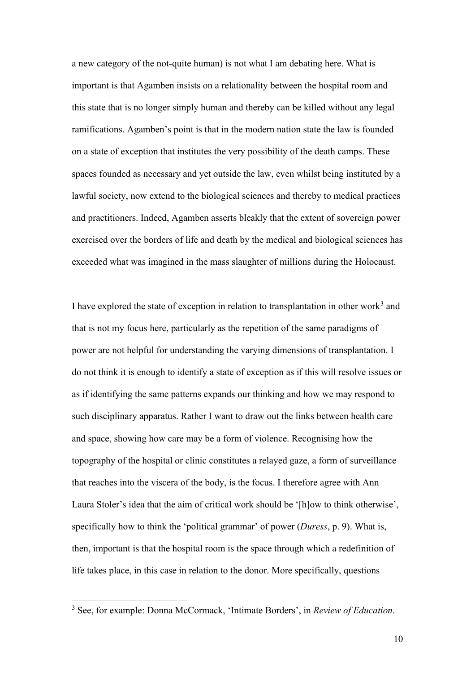a new category of the not-quite human) is not what I am debating here. What is important is that Agamben insists on a relationality between the hospital room and this state that is no longer simply human and thereby can be killed without any legal ramifications. Agamben's point is that in the modern nation state the law is founded on a state of exception that institutes the very possibility of the death camps. These spaces founded as necessary and yet outside the law, even whilst being instituted by a lawful society, now extend to the biological sciences and thereby to medical practices and practitioners. Indeed, Agamben asserts bleakly that the extent of sovereign power exercised over the borders of life and death by the medical and biological sciences has exceeded what was imagined in the mass slaughter of millions during the Holocaust.

I have explored the state of exception in relation to transplantation in other work<sup>[3](#page-9-0)</sup> and that is not my focus here, particularly as the repetition of the same paradigms of power are not helpful for understanding the varying dimensions of transplantation. I do not think it is enough to identify a state of exception as if this will resolve issues or as if identifying the same patterns expands our thinking and how we may respond to such disciplinary apparatus. Rather I want to draw out the links between health care and space, showing how care may be a form of violence. Recognising how the topography of the hospital or clinic constitutes a relayed gaze, a form of surveillance that reaches into the viscera of the body, is the focus. I therefore agree with Ann Laura Stoler's idea that the aim of critical work should be '[h]ow to think otherwise', specifically how to think the 'political grammar' of power (*Duress*, p. 9). What is, then, important is that the hospital room is the space through which a redefinition of life takes place, in this case in relation to the donor. More specifically, questions

<span id="page-9-0"></span><sup>3</sup> See, for example: Donna McCormack, 'Intimate Borders', in *Review of Education*.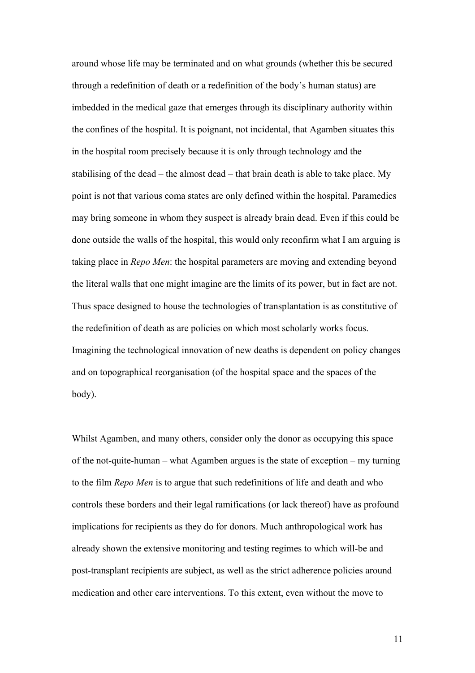around whose life may be terminated and on what grounds (whether this be secured through a redefinition of death or a redefinition of the body's human status) are imbedded in the medical gaze that emerges through its disciplinary authority within the confines of the hospital. It is poignant, not incidental, that Agamben situates this in the hospital room precisely because it is only through technology and the stabilising of the dead – the almost dead – that brain death is able to take place. My point is not that various coma states are only defined within the hospital. Paramedics may bring someone in whom they suspect is already brain dead. Even if this could be done outside the walls of the hospital, this would only reconfirm what I am arguing is taking place in *Repo Men*: the hospital parameters are moving and extending beyond the literal walls that one might imagine are the limits of its power, but in fact are not. Thus space designed to house the technologies of transplantation is as constitutive of the redefinition of death as are policies on which most scholarly works focus. Imagining the technological innovation of new deaths is dependent on policy changes and on topographical reorganisation (of the hospital space and the spaces of the body).

Whilst Agamben, and many others, consider only the donor as occupying this space of the not-quite-human – what Agamben argues is the state of exception – my turning to the film *Repo Men* is to argue that such redefinitions of life and death and who controls these borders and their legal ramifications (or lack thereof) have as profound implications for recipients as they do for donors. Much anthropological work has already shown the extensive monitoring and testing regimes to which will-be and post-transplant recipients are subject, as well as the strict adherence policies around medication and other care interventions. To this extent, even without the move to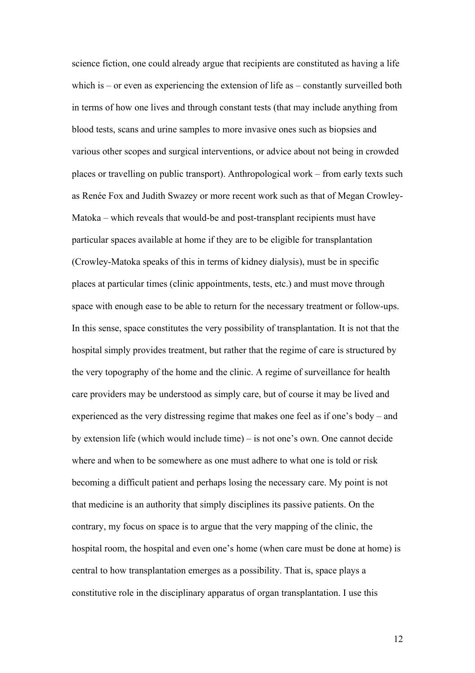science fiction, one could already argue that recipients are constituted as having a life which is – or even as experiencing the extension of life as – constantly surveilled both in terms of how one lives and through constant tests (that may include anything from blood tests, scans and urine samples to more invasive ones such as biopsies and various other scopes and surgical interventions, or advice about not being in crowded places or travelling on public transport). Anthropological work – from early texts such as Renée Fox and Judith Swazey or more recent work such as that of Megan Crowley-Matoka – which reveals that would-be and post-transplant recipients must have particular spaces available at home if they are to be eligible for transplantation (Crowley-Matoka speaks of this in terms of kidney dialysis), must be in specific places at particular times (clinic appointments, tests, etc.) and must move through space with enough ease to be able to return for the necessary treatment or follow-ups. In this sense, space constitutes the very possibility of transplantation. It is not that the hospital simply provides treatment, but rather that the regime of care is structured by the very topography of the home and the clinic. A regime of surveillance for health care providers may be understood as simply care, but of course it may be lived and experienced as the very distressing regime that makes one feel as if one's body – and by extension life (which would include time) – is not one's own. One cannot decide where and when to be somewhere as one must adhere to what one is told or risk becoming a difficult patient and perhaps losing the necessary care. My point is not that medicine is an authority that simply disciplines its passive patients. On the contrary, my focus on space is to argue that the very mapping of the clinic, the hospital room, the hospital and even one's home (when care must be done at home) is central to how transplantation emerges as a possibility. That is, space plays a constitutive role in the disciplinary apparatus of organ transplantation. I use this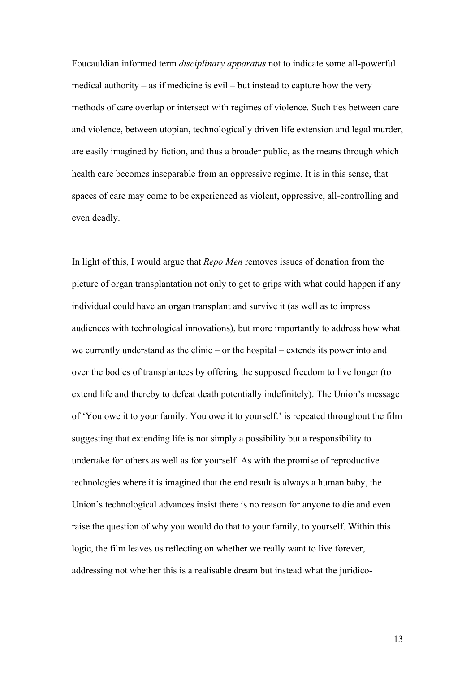Foucauldian informed term *disciplinary apparatus* not to indicate some all-powerful medical authority – as if medicine is evil – but instead to capture how the very methods of care overlap or intersect with regimes of violence. Such ties between care and violence, between utopian, technologically driven life extension and legal murder, are easily imagined by fiction, and thus a broader public, as the means through which health care becomes inseparable from an oppressive regime. It is in this sense, that spaces of care may come to be experienced as violent, oppressive, all-controlling and even deadly.

In light of this, I would argue that *Repo Men* removes issues of donation from the picture of organ transplantation not only to get to grips with what could happen if any individual could have an organ transplant and survive it (as well as to impress audiences with technological innovations), but more importantly to address how what we currently understand as the clinic – or the hospital – extends its power into and over the bodies of transplantees by offering the supposed freedom to live longer (to extend life and thereby to defeat death potentially indefinitely). The Union's message of 'You owe it to your family. You owe it to yourself.' is repeated throughout the film suggesting that extending life is not simply a possibility but a responsibility to undertake for others as well as for yourself. As with the promise of reproductive technologies where it is imagined that the end result is always a human baby, the Union's technological advances insist there is no reason for anyone to die and even raise the question of why you would do that to your family, to yourself. Within this logic, the film leaves us reflecting on whether we really want to live forever, addressing not whether this is a realisable dream but instead what the juridico-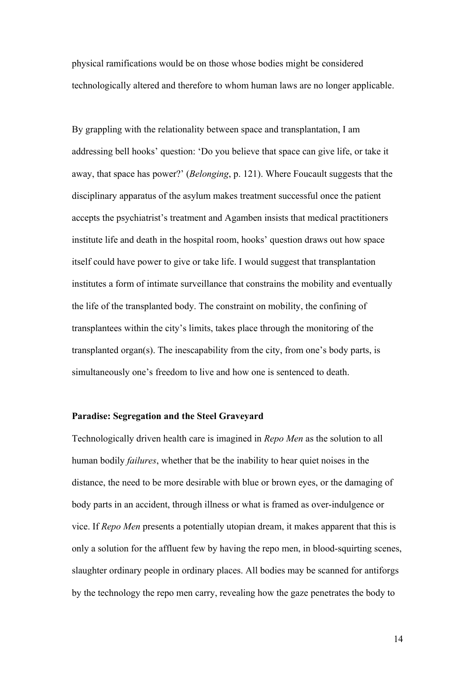physical ramifications would be on those whose bodies might be considered technologically altered and therefore to whom human laws are no longer applicable.

By grappling with the relationality between space and transplantation, I am addressing bell hooks' question: 'Do you believe that space can give life, or take it away, that space has power?' (*Belonging*, p. 121). Where Foucault suggests that the disciplinary apparatus of the asylum makes treatment successful once the patient accepts the psychiatrist's treatment and Agamben insists that medical practitioners institute life and death in the hospital room, hooks' question draws out how space itself could have power to give or take life. I would suggest that transplantation institutes a form of intimate surveillance that constrains the mobility and eventually the life of the transplanted body. The constraint on mobility, the confining of transplantees within the city's limits, takes place through the monitoring of the transplanted organ(s). The inescapability from the city, from one's body parts, is simultaneously one's freedom to live and how one is sentenced to death.

## **Paradise: Segregation and the Steel Graveyard**

Technologically driven health care is imagined in *Repo Men* as the solution to all human bodily *failures*, whether that be the inability to hear quiet noises in the distance, the need to be more desirable with blue or brown eyes, or the damaging of body parts in an accident, through illness or what is framed as over-indulgence or vice. If *Repo Men* presents a potentially utopian dream, it makes apparent that this is only a solution for the affluent few by having the repo men, in blood-squirting scenes, slaughter ordinary people in ordinary places. All bodies may be scanned for antiforgs by the technology the repo men carry, revealing how the gaze penetrates the body to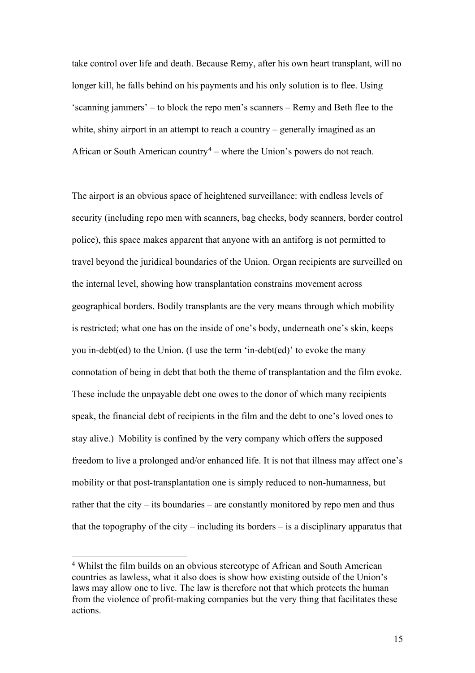take control over life and death. Because Remy, after his own heart transplant, will no longer kill, he falls behind on his payments and his only solution is to flee. Using 'scanning jammers' – to block the repo men's scanners – Remy and Beth flee to the white, shiny airport in an attempt to reach a country – generally imagined as an African or South American country<sup>[4](#page-14-0)</sup> – where the Union's powers do not reach.

The airport is an obvious space of heightened surveillance: with endless levels of security (including repo men with scanners, bag checks, body scanners, border control police), this space makes apparent that anyone with an antiforg is not permitted to travel beyond the juridical boundaries of the Union. Organ recipients are surveilled on the internal level, showing how transplantation constrains movement across geographical borders. Bodily transplants are the very means through which mobility is restricted; what one has on the inside of one's body, underneath one's skin, keeps you in-debt(ed) to the Union. (I use the term 'in-debt(ed)' to evoke the many connotation of being in debt that both the theme of transplantation and the film evoke. These include the unpayable debt one owes to the donor of which many recipients speak, the financial debt of recipients in the film and the debt to one's loved ones to stay alive.) Mobility is confined by the very company which offers the supposed freedom to live a prolonged and/or enhanced life. It is not that illness may affect one's mobility or that post-transplantation one is simply reduced to non-humanness, but rather that the city – its boundaries – are constantly monitored by repo men and thus that the topography of the city – including its borders – is a disciplinary apparatus that

<span id="page-14-0"></span><sup>4</sup> Whilst the film builds on an obvious stereotype of African and South American countries as lawless, what it also does is show how existing outside of the Union's laws may allow one to live. The law is therefore not that which protects the human from the violence of profit-making companies but the very thing that facilitates these actions.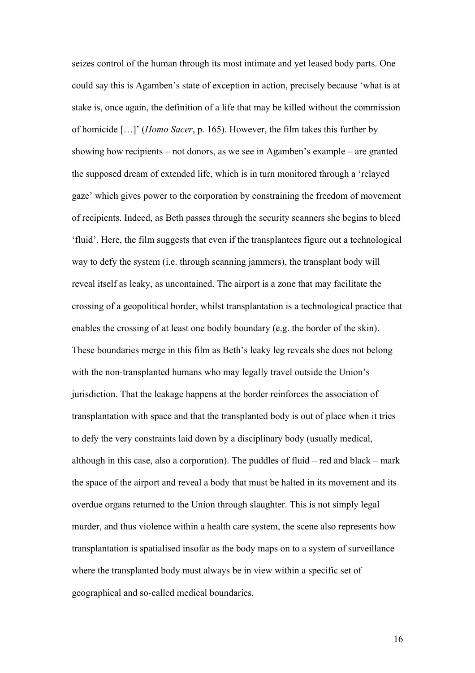seizes control of the human through its most intimate and yet leased body parts. One could say this is Agamben's state of exception in action, precisely because 'what is at stake is, once again, the definition of a life that may be killed without the commission of homicide […]' (*Homo Sacer*, p. 165). However, the film takes this further by showing how recipients – not donors, as we see in Agamben's example – are granted the supposed dream of extended life, which is in turn monitored through a 'relayed gaze' which gives power to the corporation by constraining the freedom of movement of recipients. Indeed, as Beth passes through the security scanners she begins to bleed 'fluid'. Here, the film suggests that even if the transplantees figure out a technological way to defy the system (i.e. through scanning jammers), the transplant body will reveal itself as leaky, as uncontained. The airport is a zone that may facilitate the crossing of a geopolitical border, whilst transplantation is a technological practice that enables the crossing of at least one bodily boundary (e.g. the border of the skin). These boundaries merge in this film as Beth's leaky leg reveals she does not belong with the non-transplanted humans who may legally travel outside the Union's jurisdiction. That the leakage happens at the border reinforces the association of transplantation with space and that the transplanted body is out of place when it tries to defy the very constraints laid down by a disciplinary body (usually medical, although in this case, also a corporation). The puddles of fluid – red and black – mark the space of the airport and reveal a body that must be halted in its movement and its overdue organs returned to the Union through slaughter. This is not simply legal murder, and thus violence within a health care system, the scene also represents how transplantation is spatialised insofar as the body maps on to a system of surveillance where the transplanted body must always be in view within a specific set of geographical and so-called medical boundaries.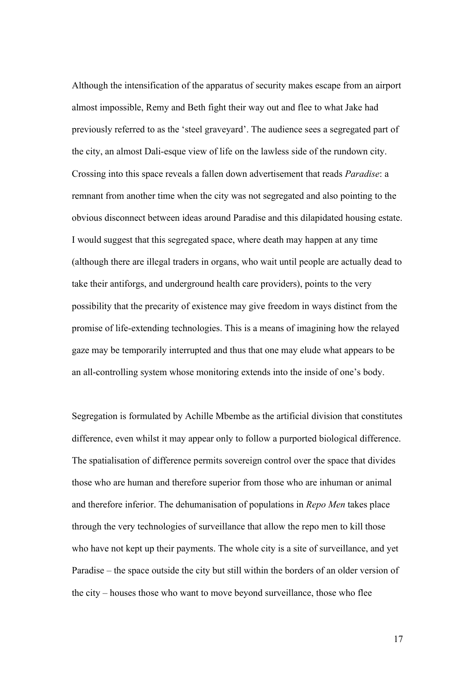Although the intensification of the apparatus of security makes escape from an airport almost impossible, Remy and Beth fight their way out and flee to what Jake had previously referred to as the 'steel graveyard'. The audience sees a segregated part of the city, an almost Dali-esque view of life on the lawless side of the rundown city. Crossing into this space reveals a fallen down advertisement that reads *Paradise*: a remnant from another time when the city was not segregated and also pointing to the obvious disconnect between ideas around Paradise and this dilapidated housing estate. I would suggest that this segregated space, where death may happen at any time (although there are illegal traders in organs, who wait until people are actually dead to take their antiforgs, and underground health care providers), points to the very possibility that the precarity of existence may give freedom in ways distinct from the promise of life-extending technologies. This is a means of imagining how the relayed gaze may be temporarily interrupted and thus that one may elude what appears to be an all-controlling system whose monitoring extends into the inside of one's body.

Segregation is formulated by Achille Mbembe as the artificial division that constitutes difference, even whilst it may appear only to follow a purported biological difference. The spatialisation of difference permits sovereign control over the space that divides those who are human and therefore superior from those who are inhuman or animal and therefore inferior. The dehumanisation of populations in *Repo Men* takes place through the very technologies of surveillance that allow the repo men to kill those who have not kept up their payments. The whole city is a site of surveillance, and yet Paradise – the space outside the city but still within the borders of an older version of the city – houses those who want to move beyond surveillance, those who flee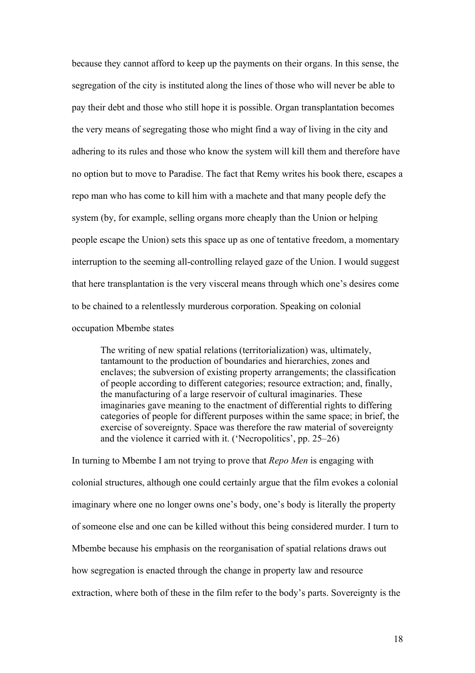because they cannot afford to keep up the payments on their organs. In this sense, the segregation of the city is instituted along the lines of those who will never be able to pay their debt and those who still hope it is possible. Organ transplantation becomes the very means of segregating those who might find a way of living in the city and adhering to its rules and those who know the system will kill them and therefore have no option but to move to Paradise. The fact that Remy writes his book there, escapes a repo man who has come to kill him with a machete and that many people defy the system (by, for example, selling organs more cheaply than the Union or helping people escape the Union) sets this space up as one of tentative freedom, a momentary interruption to the seeming all-controlling relayed gaze of the Union. I would suggest that here transplantation is the very visceral means through which one's desires come to be chained to a relentlessly murderous corporation. Speaking on colonial occupation Mbembe states

The writing of new spatial relations (territorialization) was, ultimately, tantamount to the production of boundaries and hierarchies, zones and enclaves; the subversion of existing property arrangements; the classification of people according to different categories; resource extraction; and, finally, the manufacturing of a large reservoir of cultural imaginaries. These imaginaries gave meaning to the enactment of differential rights to differing categories of people for different purposes within the same space; in brief, the exercise of sovereignty. Space was therefore the raw material of sovereignty and the violence it carried with it. ('Necropolitics', pp. 25–26)

In turning to Mbembe I am not trying to prove that *Repo Men* is engaging with colonial structures, although one could certainly argue that the film evokes a colonial imaginary where one no longer owns one's body, one's body is literally the property of someone else and one can be killed without this being considered murder. I turn to Mbembe because his emphasis on the reorganisation of spatial relations draws out how segregation is enacted through the change in property law and resource extraction, where both of these in the film refer to the body's parts. Sovereignty is the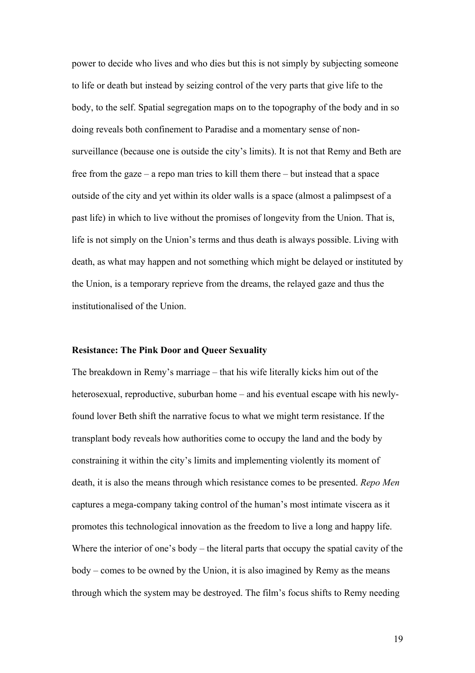power to decide who lives and who dies but this is not simply by subjecting someone to life or death but instead by seizing control of the very parts that give life to the body, to the self. Spatial segregation maps on to the topography of the body and in so doing reveals both confinement to Paradise and a momentary sense of nonsurveillance (because one is outside the city's limits). It is not that Remy and Beth are free from the gaze – a repo man tries to kill them there – but instead that a space outside of the city and yet within its older walls is a space (almost a palimpsest of a past life) in which to live without the promises of longevity from the Union. That is, life is not simply on the Union's terms and thus death is always possible. Living with death, as what may happen and not something which might be delayed or instituted by the Union, is a temporary reprieve from the dreams, the relayed gaze and thus the institutionalised of the Union.

#### **Resistance: The Pink Door and Queer Sexuality**

The breakdown in Remy's marriage – that his wife literally kicks him out of the heterosexual, reproductive, suburban home – and his eventual escape with his newlyfound lover Beth shift the narrative focus to what we might term resistance. If the transplant body reveals how authorities come to occupy the land and the body by constraining it within the city's limits and implementing violently its moment of death, it is also the means through which resistance comes to be presented. *Repo Men* captures a mega-company taking control of the human's most intimate viscera as it promotes this technological innovation as the freedom to live a long and happy life. Where the interior of one's body – the literal parts that occupy the spatial cavity of the body – comes to be owned by the Union, it is also imagined by Remy as the means through which the system may be destroyed. The film's focus shifts to Remy needing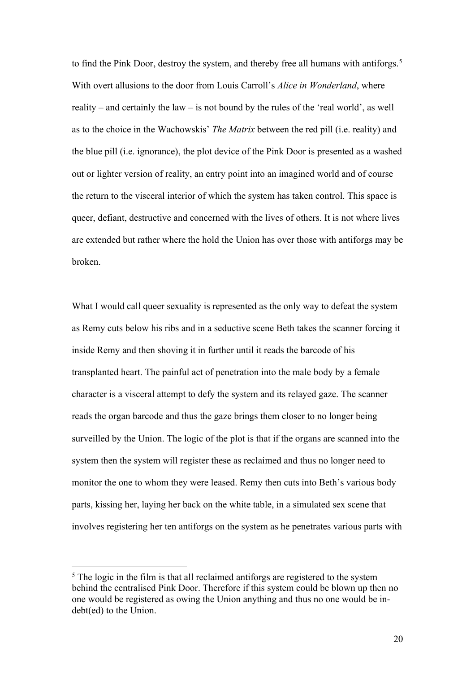to find the Pink Door, destroy the system, and thereby free all humans with antiforgs.<sup>[5](#page-19-0)</sup> With overt allusions to the door from Louis Carroll's *Alice in Wonderland*, where reality – and certainly the law – is not bound by the rules of the 'real world', as well as to the choice in the Wachowskis' *The Matrix* between the red pill (i.e. reality) and the blue pill (i.e. ignorance), the plot device of the Pink Door is presented as a washed out or lighter version of reality, an entry point into an imagined world and of course the return to the visceral interior of which the system has taken control. This space is queer, defiant, destructive and concerned with the lives of others. It is not where lives are extended but rather where the hold the Union has over those with antiforgs may be broken.

What I would call queer sexuality is represented as the only way to defeat the system as Remy cuts below his ribs and in a seductive scene Beth takes the scanner forcing it inside Remy and then shoving it in further until it reads the barcode of his transplanted heart. The painful act of penetration into the male body by a female character is a visceral attempt to defy the system and its relayed gaze. The scanner reads the organ barcode and thus the gaze brings them closer to no longer being surveilled by the Union. The logic of the plot is that if the organs are scanned into the system then the system will register these as reclaimed and thus no longer need to monitor the one to whom they were leased. Remy then cuts into Beth's various body parts, kissing her, laying her back on the white table, in a simulated sex scene that involves registering her ten antiforgs on the system as he penetrates various parts with

<span id="page-19-0"></span><sup>&</sup>lt;sup>5</sup> The logic in the film is that all reclaimed antiforgs are registered to the system behind the centralised Pink Door. Therefore if this system could be blown up then no one would be registered as owing the Union anything and thus no one would be indebt(ed) to the Union.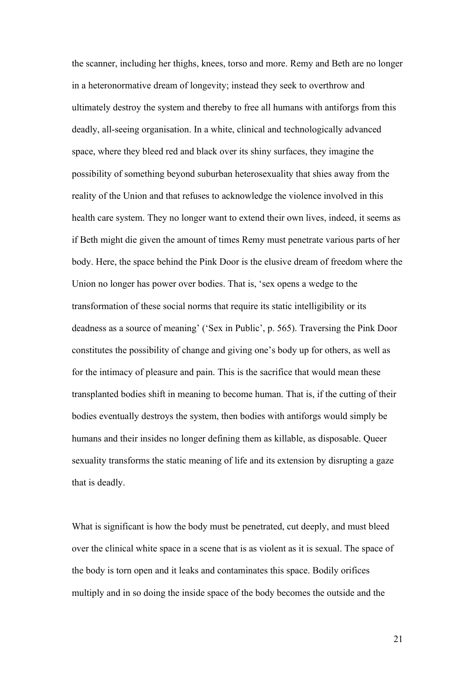the scanner, including her thighs, knees, torso and more. Remy and Beth are no longer in a heteronormative dream of longevity; instead they seek to overthrow and ultimately destroy the system and thereby to free all humans with antiforgs from this deadly, all-seeing organisation. In a white, clinical and technologically advanced space, where they bleed red and black over its shiny surfaces, they imagine the possibility of something beyond suburban heterosexuality that shies away from the reality of the Union and that refuses to acknowledge the violence involved in this health care system. They no longer want to extend their own lives, indeed, it seems as if Beth might die given the amount of times Remy must penetrate various parts of her body. Here, the space behind the Pink Door is the elusive dream of freedom where the Union no longer has power over bodies. That is, 'sex opens a wedge to the transformation of these social norms that require its static intelligibility or its deadness as a source of meaning' ('Sex in Public', p. 565). Traversing the Pink Door constitutes the possibility of change and giving one's body up for others, as well as for the intimacy of pleasure and pain. This is the sacrifice that would mean these transplanted bodies shift in meaning to become human. That is, if the cutting of their bodies eventually destroys the system, then bodies with antiforgs would simply be humans and their insides no longer defining them as killable, as disposable. Queer sexuality transforms the static meaning of life and its extension by disrupting a gaze that is deadly.

What is significant is how the body must be penetrated, cut deeply, and must bleed over the clinical white space in a scene that is as violent as it is sexual. The space of the body is torn open and it leaks and contaminates this space. Bodily orifices multiply and in so doing the inside space of the body becomes the outside and the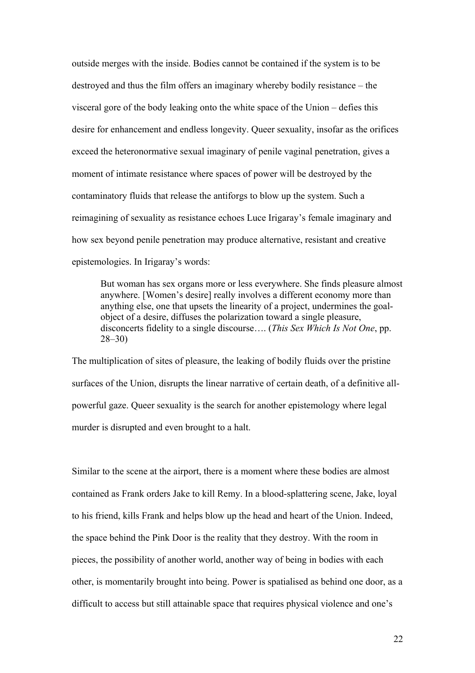outside merges with the inside. Bodies cannot be contained if the system is to be destroyed and thus the film offers an imaginary whereby bodily resistance – the visceral gore of the body leaking onto the white space of the Union – defies this desire for enhancement and endless longevity. Queer sexuality, insofar as the orifices exceed the heteronormative sexual imaginary of penile vaginal penetration, gives a moment of intimate resistance where spaces of power will be destroyed by the contaminatory fluids that release the antiforgs to blow up the system. Such a reimagining of sexuality as resistance echoes Luce Irigaray's female imaginary and how sex beyond penile penetration may produce alternative, resistant and creative epistemologies. In Irigaray's words:

But woman has sex organs more or less everywhere. She finds pleasure almost anywhere. [Women's desire] really involves a different economy more than anything else, one that upsets the linearity of a project, undermines the goalobject of a desire, diffuses the polarization toward a single pleasure, disconcerts fidelity to a single discourse…. (*This Sex Which Is Not One*, pp. 28–30)

The multiplication of sites of pleasure, the leaking of bodily fluids over the pristine surfaces of the Union, disrupts the linear narrative of certain death, of a definitive allpowerful gaze. Queer sexuality is the search for another epistemology where legal murder is disrupted and even brought to a halt.

Similar to the scene at the airport, there is a moment where these bodies are almost contained as Frank orders Jake to kill Remy. In a blood-splattering scene, Jake, loyal to his friend, kills Frank and helps blow up the head and heart of the Union. Indeed, the space behind the Pink Door is the reality that they destroy. With the room in pieces, the possibility of another world, another way of being in bodies with each other, is momentarily brought into being. Power is spatialised as behind one door, as a difficult to access but still attainable space that requires physical violence and one's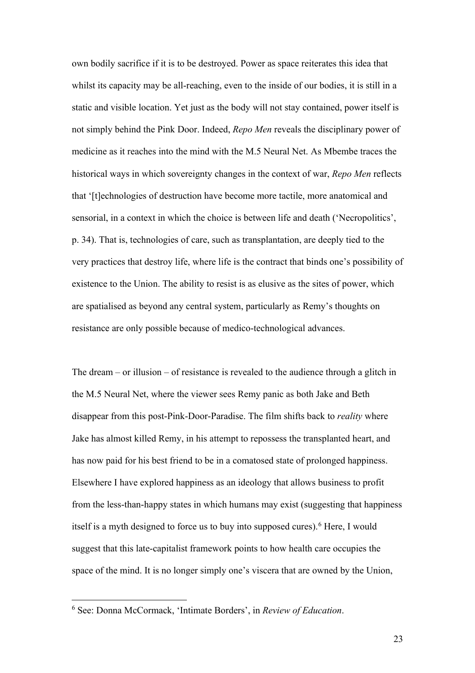own bodily sacrifice if it is to be destroyed. Power as space reiterates this idea that whilst its capacity may be all-reaching, even to the inside of our bodies, it is still in a static and visible location. Yet just as the body will not stay contained, power itself is not simply behind the Pink Door. Indeed, *Repo Men* reveals the disciplinary power of medicine as it reaches into the mind with the M.5 Neural Net. As Mbembe traces the historical ways in which sovereignty changes in the context of war, *Repo Men* reflects that '[t]echnologies of destruction have become more tactile, more anatomical and sensorial, in a context in which the choice is between life and death ('Necropolitics', p. 34). That is, technologies of care, such as transplantation, are deeply tied to the very practices that destroy life, where life is the contract that binds one's possibility of existence to the Union. The ability to resist is as elusive as the sites of power, which are spatialised as beyond any central system, particularly as Remy's thoughts on resistance are only possible because of medico-technological advances.

The dream – or illusion – of resistance is revealed to the audience through a glitch in the M.5 Neural Net, where the viewer sees Remy panic as both Jake and Beth disappear from this post-Pink-Door-Paradise. The film shifts back to *reality* where Jake has almost killed Remy, in his attempt to repossess the transplanted heart, and has now paid for his best friend to be in a comatosed state of prolonged happiness. Elsewhere I have explored happiness as an ideology that allows business to profit from the less-than-happy states in which humans may exist (suggesting that happiness itself is a myth designed to force us to buy into supposed cures).<sup>6</sup> Here, I would suggest that this late-capitalist framework points to how health care occupies the space of the mind. It is no longer simply one's viscera that are owned by the Union,

<span id="page-22-0"></span><sup>6</sup> See: Donna McCormack, 'Intimate Borders', in *Review of Education*.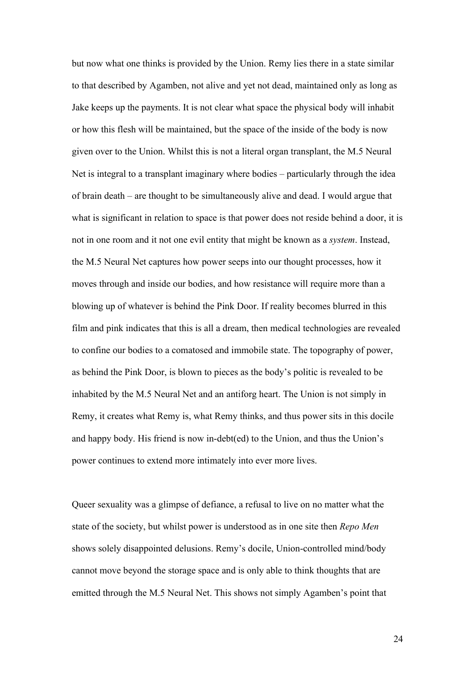but now what one thinks is provided by the Union. Remy lies there in a state similar to that described by Agamben, not alive and yet not dead, maintained only as long as Jake keeps up the payments. It is not clear what space the physical body will inhabit or how this flesh will be maintained, but the space of the inside of the body is now given over to the Union. Whilst this is not a literal organ transplant, the M.5 Neural Net is integral to a transplant imaginary where bodies – particularly through the idea of brain death – are thought to be simultaneously alive and dead. I would argue that what is significant in relation to space is that power does not reside behind a door, it is not in one room and it not one evil entity that might be known as a *system*. Instead, the M.5 Neural Net captures how power seeps into our thought processes, how it moves through and inside our bodies, and how resistance will require more than a blowing up of whatever is behind the Pink Door. If reality becomes blurred in this film and pink indicates that this is all a dream, then medical technologies are revealed to confine our bodies to a comatosed and immobile state. The topography of power, as behind the Pink Door, is blown to pieces as the body's politic is revealed to be inhabited by the M.5 Neural Net and an antiforg heart. The Union is not simply in Remy, it creates what Remy is, what Remy thinks, and thus power sits in this docile and happy body. His friend is now in-debt(ed) to the Union, and thus the Union's power continues to extend more intimately into ever more lives.

Queer sexuality was a glimpse of defiance, a refusal to live on no matter what the state of the society, but whilst power is understood as in one site then *Repo Men* shows solely disappointed delusions. Remy's docile, Union-controlled mind/body cannot move beyond the storage space and is only able to think thoughts that are emitted through the M.5 Neural Net. This shows not simply Agamben's point that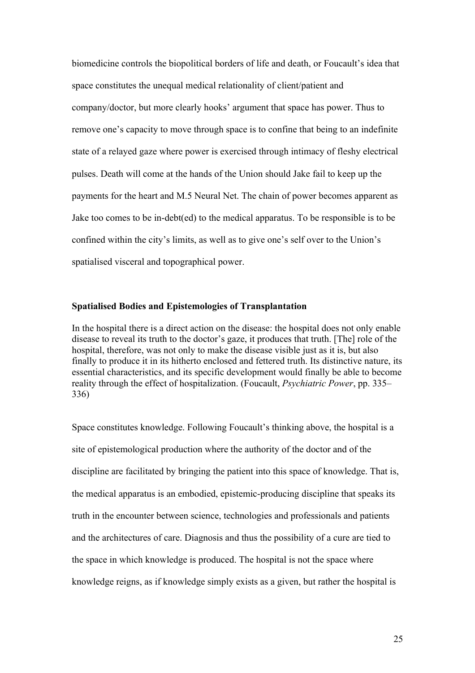biomedicine controls the biopolitical borders of life and death, or Foucault's idea that space constitutes the unequal medical relationality of client/patient and company/doctor, but more clearly hooks' argument that space has power. Thus to remove one's capacity to move through space is to confine that being to an indefinite state of a relayed gaze where power is exercised through intimacy of fleshy electrical pulses. Death will come at the hands of the Union should Jake fail to keep up the payments for the heart and M.5 Neural Net. The chain of power becomes apparent as Jake too comes to be in-debt(ed) to the medical apparatus. To be responsible is to be confined within the city's limits, as well as to give one's self over to the Union's spatialised visceral and topographical power.

### **Spatialised Bodies and Epistemologies of Transplantation**

In the hospital there is a direct action on the disease: the hospital does not only enable disease to reveal its truth to the doctor's gaze, it produces that truth. [The] role of the hospital, therefore, was not only to make the disease visible just as it is, but also finally to produce it in its hitherto enclosed and fettered truth. Its distinctive nature, its essential characteristics, and its specific development would finally be able to become reality through the effect of hospitalization. (Foucault, *Psychiatric Power*, pp. 335– 336)

Space constitutes knowledge. Following Foucault's thinking above, the hospital is a site of epistemological production where the authority of the doctor and of the discipline are facilitated by bringing the patient into this space of knowledge. That is, the medical apparatus is an embodied, epistemic-producing discipline that speaks its truth in the encounter between science, technologies and professionals and patients and the architectures of care. Diagnosis and thus the possibility of a cure are tied to the space in which knowledge is produced. The hospital is not the space where knowledge reigns, as if knowledge simply exists as a given, but rather the hospital is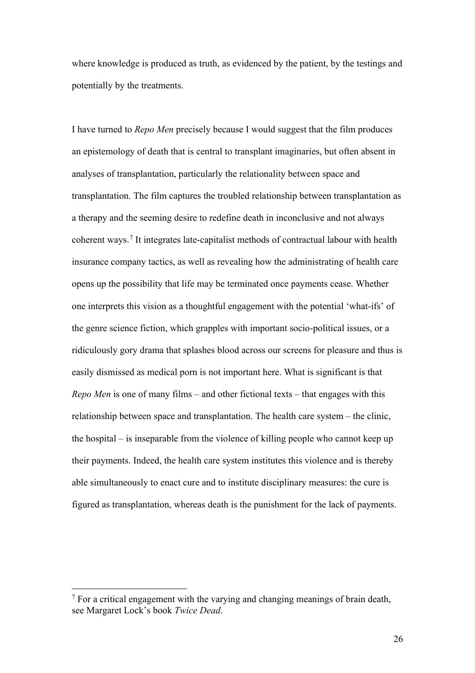where knowledge is produced as truth, as evidenced by the patient, by the testings and potentially by the treatments.

I have turned to *Repo Men* precisely because I would suggest that the film produces an epistemology of death that is central to transplant imaginaries, but often absent in analyses of transplantation, particularly the relationality between space and transplantation. The film captures the troubled relationship between transplantation as a therapy and the seeming desire to redefine death in inconclusive and not always coherent ways.[7](#page-25-0) It integrates late-capitalist methods of contractual labour with health insurance company tactics, as well as revealing how the administrating of health care opens up the possibility that life may be terminated once payments cease. Whether one interprets this vision as a thoughtful engagement with the potential 'what-ifs' of the genre science fiction, which grapples with important socio-political issues, or a ridiculously gory drama that splashes blood across our screens for pleasure and thus is easily dismissed as medical porn is not important here. What is significant is that *Repo Men* is one of many films – and other fictional texts – that engages with this relationship between space and transplantation. The health care system – the clinic, the hospital – is inseparable from the violence of killing people who cannot keep up their payments. Indeed, the health care system institutes this violence and is thereby able simultaneously to enact cure and to institute disciplinary measures: the cure is figured as transplantation, whereas death is the punishment for the lack of payments.

<span id="page-25-0"></span> $<sup>7</sup>$  For a critical engagement with the varying and changing meanings of brain death,</sup> see Margaret Lock's book *Twice Dead*.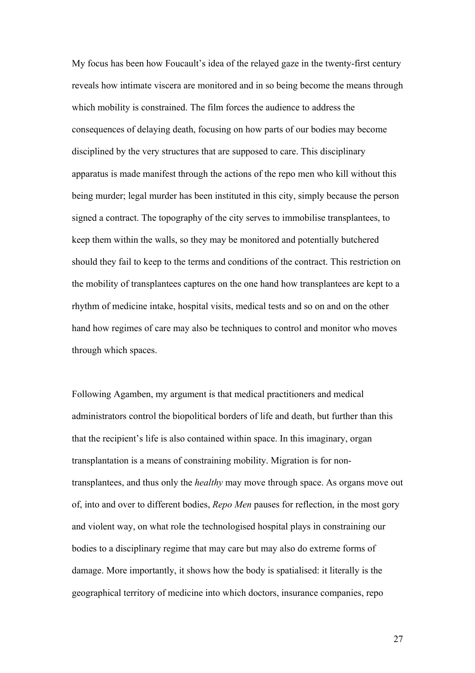My focus has been how Foucault's idea of the relayed gaze in the twenty-first century reveals how intimate viscera are monitored and in so being become the means through which mobility is constrained. The film forces the audience to address the consequences of delaying death, focusing on how parts of our bodies may become disciplined by the very structures that are supposed to care. This disciplinary apparatus is made manifest through the actions of the repo men who kill without this being murder; legal murder has been instituted in this city, simply because the person signed a contract. The topography of the city serves to immobilise transplantees, to keep them within the walls, so they may be monitored and potentially butchered should they fail to keep to the terms and conditions of the contract. This restriction on the mobility of transplantees captures on the one hand how transplantees are kept to a rhythm of medicine intake, hospital visits, medical tests and so on and on the other hand how regimes of care may also be techniques to control and monitor who moves through which spaces.

Following Agamben, my argument is that medical practitioners and medical administrators control the biopolitical borders of life and death, but further than this that the recipient's life is also contained within space. In this imaginary, organ transplantation is a means of constraining mobility. Migration is for nontransplantees, and thus only the *healthy* may move through space. As organs move out of, into and over to different bodies, *Repo Men* pauses for reflection, in the most gory and violent way, on what role the technologised hospital plays in constraining our bodies to a disciplinary regime that may care but may also do extreme forms of damage. More importantly, it shows how the body is spatialised: it literally is the geographical territory of medicine into which doctors, insurance companies, repo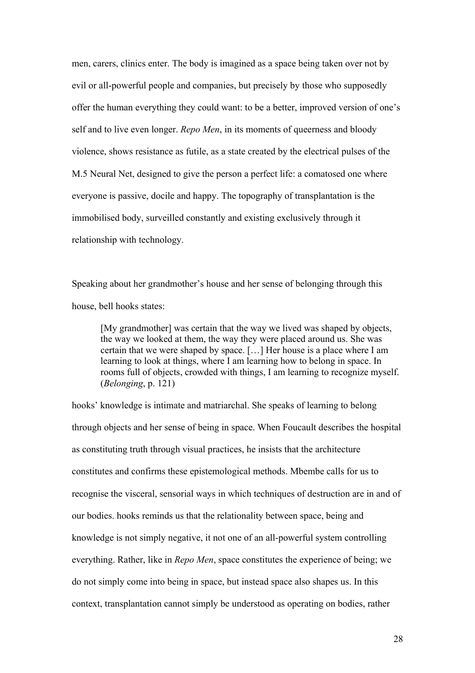men, carers, clinics enter. The body is imagined as a space being taken over not by evil or all-powerful people and companies, but precisely by those who supposedly offer the human everything they could want: to be a better, improved version of one's self and to live even longer. *Repo Men*, in its moments of queerness and bloody violence, shows resistance as futile, as a state created by the electrical pulses of the M.5 Neural Net, designed to give the person a perfect life: a comatosed one where everyone is passive, docile and happy. The topography of transplantation is the immobilised body, surveilled constantly and existing exclusively through it relationship with technology.

Speaking about her grandmother's house and her sense of belonging through this house, bell hooks states:

[My grandmother] was certain that the way we lived was shaped by objects, the way we looked at them, the way they were placed around us. She was certain that we were shaped by space. […] Her house is a place where I am learning to look at things, where I am learning how to belong in space. In rooms full of objects, crowded with things, I am learning to recognize myself. (*Belonging*, p. 121)

hooks' knowledge is intimate and matriarchal. She speaks of learning to belong through objects and her sense of being in space. When Foucault describes the hospital as constituting truth through visual practices, he insists that the architecture constitutes and confirms these epistemological methods. Mbembe calls for us to recognise the visceral, sensorial ways in which techniques of destruction are in and of our bodies. hooks reminds us that the relationality between space, being and knowledge is not simply negative, it not one of an all-powerful system controlling everything. Rather, like in *Repo Men*, space constitutes the experience of being; we do not simply come into being in space, but instead space also shapes us. In this context, transplantation cannot simply be understood as operating on bodies, rather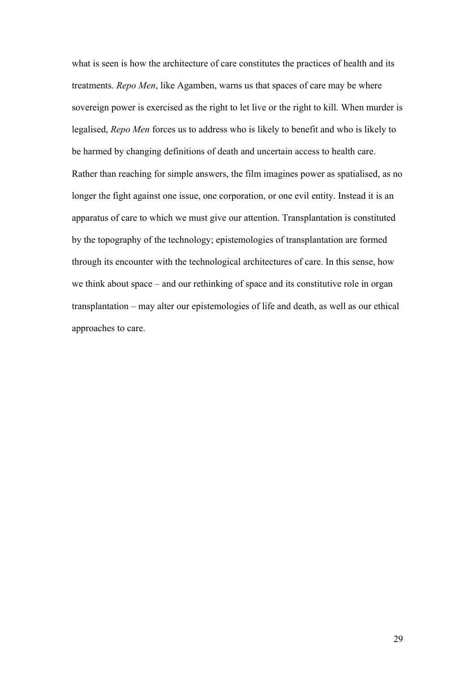what is seen is how the architecture of care constitutes the practices of health and its treatments. *Repo Men*, like Agamben, warns us that spaces of care may be where sovereign power is exercised as the right to let live or the right to kill. When murder is legalised, *Repo Men* forces us to address who is likely to benefit and who is likely to be harmed by changing definitions of death and uncertain access to health care. Rather than reaching for simple answers, the film imagines power as spatialised, as no longer the fight against one issue, one corporation, or one evil entity. Instead it is an apparatus of care to which we must give our attention. Transplantation is constituted by the topography of the technology; epistemologies of transplantation are formed through its encounter with the technological architectures of care. In this sense, how we think about space – and our rethinking of space and its constitutive role in organ transplantation – may alter our epistemologies of life and death, as well as our ethical approaches to care.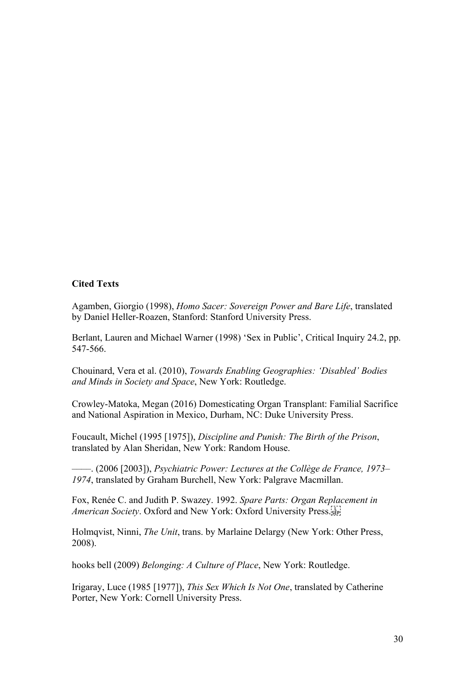## **Cited Texts**

Agamben, Giorgio (1998), *Homo Sacer: Sovereign Power and Bare Life*, translated by Daniel Heller-Roazen, Stanford: Stanford University Press.

Berlant, Lauren and Michael Warner (1998) 'Sex in Public', Critical Inquiry 24.2, pp. 547-566.

Chouinard, Vera et al. (2010), *Towards Enabling Geographies: 'Disabled' Bodies and Minds in Society and Space*, New York: Routledge.

Crowley-Matoka, Megan (2016) Domesticating Organ Transplant: Familial Sacrifice and National Aspiration in Mexico, Durham, NC: Duke University Press.

Foucault, Michel (1995 [1975]), *Discipline and Punish: The Birth of the Prison*, translated by Alan Sheridan, New York: Random House.

––––. (2006 [2003]), *Psychiatric Power: Lectures at the Collège de France, 1973– 1974*, translated by Graham Burchell, New York: Palgrave Macmillan.

Fox, Renée C. and Judith P. Swazey. 1992. *Spare Parts: Organ Replacement in American Society*. Oxford and New York: Oxford University Press.

Holmqvist, Ninni, *The Unit*, trans. by Marlaine Delargy (New York: Other Press, 2008).

hooks bell (2009) *Belonging: A Culture of Place*, New York: Routledge.

Irigaray, Luce (1985 [1977]), *This Sex Which Is Not One*, translated by Catherine Porter, New York: Cornell University Press.